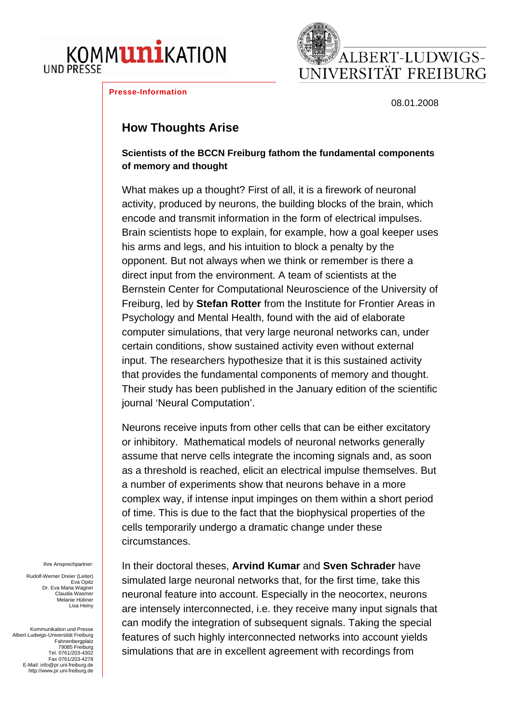





08.01.2008

## **How Thoughts Arise**

**Scientists of the BCCN Freiburg fathom the fundamental components of memory and thought**

What makes up a thought? First of all, it is a firework of neuronal activity, produced by neurons, the building blocks of the brain, which encode and transmit information in the form of electrical impulses. Brain scientists hope to explain, for example, how a goal keeper uses his arms and legs, and his intuition to block a penalty by the opponent. But not always when we think or remember is there a direct input from the environment. A team of scientists at the Bernstein Center for Computational Neuroscience of the University of Freiburg, led by **Stefan Rotter** from the Institute for Frontier Areas in Psychology and Mental Health, found with the aid of elaborate computer simulations, that very large neuronal networks can, under certain conditions, show sustained activity even without external input. The researchers hypothesize that it is this sustained activity that provides the fundamental components of memory and thought. Their study has been published in the January edition of the scientific journal 'Neural Computation'.

Neurons receive inputs from other cells that can be either excitatory or inhibitory. Mathematical models of neuronal networks generally assume that nerve cells integrate the incoming signals and, as soon as a threshold is reached, elicit an electrical impulse themselves. But a number of experiments show that neurons behave in a more complex way, if intense input impinges on them within a short period of time. This is due to the fact that the biophysical properties of the cells temporarily undergo a dramatic change under these circumstances.

Ihre Ansprechpartner:

Rudolf-Werner Dreier (Leiter) Eva Opitz Dr. Eva Maria Wagner Claudia Wasmer Melanie Hübner Lisa Heiny

Kommunikation und Presse Albert-Ludwigs-Universität Freiburg Fahnenbergplatz 79085 Freiburg Tel. 0761/203-4302 Fax 0761/203-4278 E-Mail: [info@pr.uni-freiburg.de](mailto:info@pr.uni-freiburg.de) [http://www.pr.uni-freiburg.de](http://www.uni-freiburg.de/)

In their doctoral theses, **Arvind Kumar** and **Sven Schrader** have simulated large neuronal networks that, for the first time, take this neuronal feature into account. Especially in the neocortex, neurons are intensely interconnected, i.e. they receive many input signals that can modify the integration of subsequent signals. Taking the special features of such highly interconnected networks into account yields simulations that are in excellent agreement with recordings from